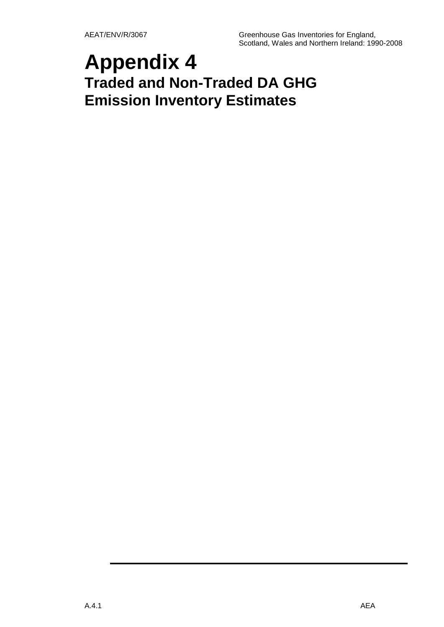# **Appendix 4 Traded and Non-Traded DA GHG Emission Inventory Estimates**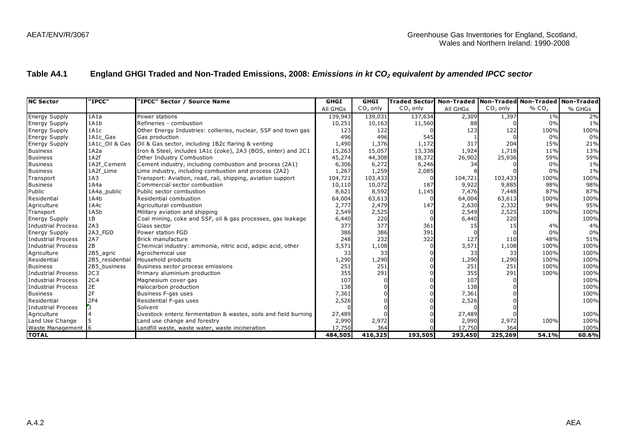### **Table A4.1 England GHGI Traded and Non-Traded Emissions, 2008:** *Emissions in kt CO<sup>2</sup> equivalent by amended IPCC sector*

| Table A4.1              |                 | England GHGI Traded and Non-Traded Emissions, 2008: Emissions in kt CO <sub>2</sub> equivalent by amended IPCC sector |             |             |                                                                   |          |            |                   |        |
|-------------------------|-----------------|-----------------------------------------------------------------------------------------------------------------------|-------------|-------------|-------------------------------------------------------------------|----------|------------|-------------------|--------|
|                         |                 |                                                                                                                       |             |             |                                                                   |          |            |                   |        |
|                         |                 |                                                                                                                       |             |             |                                                                   |          |            |                   |        |
|                         |                 |                                                                                                                       |             |             |                                                                   |          |            |                   |        |
| <b>NC Sector</b>        | "IPCC"          | "IPCC" Sector / Source Name                                                                                           | <b>GHGI</b> | <b>GHGI</b> | Traded Sector   Non-Traded   Non-Traded   Non-Traded   Non-Traded |          |            |                   |        |
|                         |                 |                                                                                                                       | All GHGs    | $CO2$ only  | $CO2$ only                                                        | All GHGs | $CO2$ only | % CO <sub>2</sub> | % GHGs |
| <b>Energy Supply</b>    | 1A1a            | Power stations                                                                                                        | 139,943     | 139,031     | 137,634                                                           | 2,309    | 1,397      | $1\%$             | 2%     |
| <b>Energy Supply</b>    | 1A1b            | Refineries - combustion                                                                                               | 10,251      | 10,163      | 11,560                                                            | 88       |            | 0%                | $1\%$  |
| <b>Energy Supply</b>    | 1A1c            | Other Energy Industries: collieries, nuclear, SSF and town gas                                                        | 123         | 122         |                                                                   | 123      | 122        | 100%              | 100%   |
| <b>Energy Supply</b>    | 1A1c Gas        | Gas production                                                                                                        | 496         | 496         | 545                                                               |          |            | 0%                | 0%     |
| <b>Energy Supply</b>    | 1A1c Oil & Gas  | Oil & Gas sector, including 1B2c flaring & venting                                                                    | 1,490       | 1,376       | 1,172                                                             | 317      | 204        | 15%               | 21%    |
| <b>Business</b>         | 1A2a            | Iron & Steel, includes 1A1c (coke), 2A3 (BOS, sinter) and 2C1                                                         | 15,263      | 15,057      | 13,338                                                            | 1,924    | 1,718      | 11%               | 13%    |
| <b>Business</b>         | 1A2f            | Other Industry Combustion                                                                                             | 45,274      | 44,308      | 18,372                                                            | 26,902   | 25,936     | 59%               | 59%    |
| <b>Business</b>         | 1A2f Cement     | Cement industry, including combustion and process (2A1)                                                               | 6,306       | 6,272       | 6,246                                                             | 34       |            | 0%                | $1\%$  |
| <b>Business</b>         | 1A2f Lime       | Lime industry, including combustion and process (2A2)                                                                 | 1,267       | 1,259       | 2,085                                                             |          |            | 0%                | 1%     |
| Transport               | 1A3             | Transport: Aviation, road, rail, shipping, aviation support                                                           | 104,721     | 103,433     |                                                                   | 104,721  | 103,433    | 100%              | 100%   |
| <b>Business</b>         | 1A4a            | Commercial sector combustion                                                                                          | 10,110      | 10,072      | 187                                                               | 9,922    | 9,885      | 98%               | 98%    |
| Public                  | 1A4a public     | Public sector combustion                                                                                              | 8,621       | 8,592       | 1,145                                                             | 7,476    | 7,448      | 87%               | 87%    |
| Residential             | 1A4b            | Residential combustion                                                                                                | 64,004      | 63,613      |                                                                   | 64,004   | 63,613     | 100%              | 100%   |
| Agriculture             | 1A4c            | Agricultural combustion                                                                                               | 2,777       | 2,479       | 147                                                               | 2,630    | 2,332      | 94%               | 95%    |
| Transport               | 1A5b            | Military aviation and shipping                                                                                        | 2,549       | 2,525       |                                                                   | 2,549    | 2,525      | 100%              | 100%   |
| <b>Energy Supply</b>    | 1B              | Coal mining, coke and SSF, oil & gas processes, gas leakage                                                           | 6,440       | 220         |                                                                   | 6,440    | 220        |                   | 100%   |
| Industrial Process      | 2A3             | Glass sector                                                                                                          | 377         | 377         | 361                                                               | 15       | 15         | 4%                | 4%     |
| <b>Energy Supply</b>    | 2A3 FGD         | Power station FGD                                                                                                     | 386         | 386         | 391                                                               |          |            | 0%                | 0%     |
| Industrial Process      | 2A7             | <b>Brick manufacture</b>                                                                                              | 248         | 232         | 322                                                               | 127      | 110        | 48%               | 51%    |
| Industrial Process      | 2B              | Chemical industry: ammonia, nitric acid, adipic acid, other                                                           | 3,571       | 1,108       |                                                                   | 3,571    | 1,108      | 100%              | 100%   |
| Agriculture             | 2B5 agric       | Agrochemical use                                                                                                      | 33          | 33          |                                                                   | 33       | 33         | 100%              | 100%   |
| Residential             | 2B5 residential | Household products                                                                                                    | 1,290       | 1,290       |                                                                   | 1,290    | 1,290      | 100%              | 100%   |
| <b>Business</b>         | 2B5 business    | Business sector process emissions                                                                                     | 251         | 251         |                                                                   | 251      | 251        | 100%              | 100%   |
| Industrial Process      | 2C <sub>3</sub> | Primary aluminium production                                                                                          | 355         | 291         |                                                                   | 355      | 291        | 100%              | 100%   |
| Industrial Process      | 2C <sub>4</sub> | Magnesium cover gas                                                                                                   | 107         |             |                                                                   | 107      |            |                   | 100%   |
| Industrial Process      | 2E              | Halocarbon production                                                                                                 | 138         |             |                                                                   | 138      |            |                   | 100%   |
| <b>Business</b>         | 2F              | Business F-gas uses                                                                                                   | 7,361       |             |                                                                   | 7,361    |            |                   | 100%   |
| Residential             | 2F4             | Residential F-gas uses                                                                                                | 2,526       |             |                                                                   | 2,526    |            |                   | 100%   |
| Industrial Process      |                 | Solvent                                                                                                               |             |             |                                                                   |          |            |                   |        |
| Agriculture             |                 | Livestock enteric fermentation & wastes, soils and field burning                                                      | 27,489      |             |                                                                   | 27,489   |            |                   | 100%   |
| Land Use Change         |                 | Land use change and forestry                                                                                          | 2,990       | 2,972       |                                                                   | 2,990    | 2,972      | 100%              | 100%   |
| <b>Waste Management</b> | -16             | Landfill waste, waste water, waste incineration                                                                       | 17,750      | 364         |                                                                   | 17,750   | 364        |                   | 100%   |
| <b>TOTAL</b>            |                 |                                                                                                                       | 484,505     | 416,325     | 193,505                                                           | 293,450  | 225,269    | 54.1%             | 60.6%  |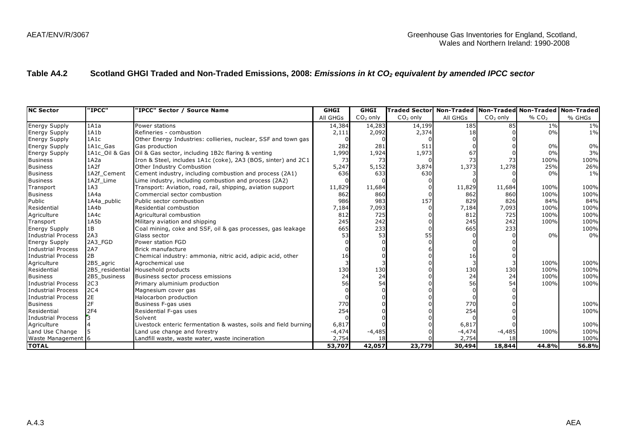| Table A4.2                |                 | Scotland GHGI Traded and Non-Traded Emissions, 2008: Emissions in kt CO <sub>2</sub> equivalent by amended IPCC sector |             |             |                      |          |            |                                             |        |
|---------------------------|-----------------|------------------------------------------------------------------------------------------------------------------------|-------------|-------------|----------------------|----------|------------|---------------------------------------------|--------|
|                           |                 |                                                                                                                        |             |             |                      |          |            |                                             |        |
| <b>NC Sector</b>          | "IPCC"          | 'IPCC" Sector / Source Name                                                                                            | <b>GHGI</b> | <b>GHGI</b> | <b>Traded Sector</b> |          |            | Non-Traded Non-Traded Non-Traded Non-Traded |        |
|                           |                 |                                                                                                                        | All GHGs    | $CO2$ only  | $CO2$ only           | All GHGs | $CO2$ only | % $CO2$                                     | % GHGs |
| <b>Energy Supply</b>      | 1A1a            | Power stations                                                                                                         | 14,384      | 14,283      | 14,199               | 185      | 85         | $1\%$                                       | $1\%$  |
| <b>Energy Supply</b>      | 1A1b            | Refineries - combustion                                                                                                | 2,111       | 2,092       | 2,374                | 18       |            | 0%                                          | $1\%$  |
| <b>Energy Supply</b>      | 1A1c            | Other Energy Industries: collieries, nuclear, SSF and town gas                                                         |             |             |                      |          |            |                                             |        |
| <b>Energy Supply</b>      | 1A1c_Gas        | Gas production                                                                                                         | 282         | 281         | 511                  |          |            | 0%                                          | 0%     |
| <b>Energy Supply</b>      | 1A1c Oil & Gas  | Oil & Gas sector, including 1B2c flaring & venting                                                                     | 1,990       | 1,924       | 1,973                | 67       |            | 0%                                          | 3%     |
| <b>Business</b>           | 1A2a            | Iron & Steel, includes 1A1c (coke), 2A3 (BOS, sinter) and 2C1                                                          | 73          | 73          |                      | 73       | 73         | 100%                                        | 100%   |
| <b>Business</b>           | 1A2f            | Other Industry Combustion                                                                                              | 5,247       | 5,152       | 3,874                | 1,373    | 1,278      | 25%                                         | 26%    |
| <b>Business</b>           | 1A2f Cement     | Cement industry, including combustion and process (2A1)                                                                | 636         | 633         | 630                  |          |            | 0%                                          | $1\%$  |
| <b>Business</b>           | 1A2f Lime       | Lime industry, including combustion and process (2A2)                                                                  |             |             |                      |          |            |                                             |        |
| Transport                 | 1A3             | Transport: Aviation, road, rail, shipping, aviation support                                                            | 11,829      | 11,684      |                      | 11,829   | 11,684     | 100%                                        | 100%   |
| <b>Business</b>           | 1A4a            | Commercial sector combustion                                                                                           | 862         | 860         |                      | 862      | 860        | 100%                                        | 100%   |
| Public                    | 1A4a_public     | Public sector combustion                                                                                               | 986         | 983         | 157                  | 829      | 826        | 84%                                         | 84%    |
| Residential               | 1A4b            | Residential combustion                                                                                                 | 7,184       | 7,093       |                      | 7,184    | 7,093      | 100%                                        | 100%   |
| Agriculture               | 1A4c            | Agricultural combustion                                                                                                | 812         | 725         |                      | 812      | 725        | 100%                                        | 100%   |
| Transport                 | 1A5b            | Military aviation and shipping                                                                                         | 245         | 242         |                      | 245      | 242        | 100%                                        | 100%   |
| <b>Energy Supply</b>      | 1B              | Coal mining, coke and SSF, oil & gas processes, gas leakage                                                            | 665         | 233         |                      | 665      | 233        |                                             | 100%   |
| <b>Industrial Process</b> | 2A3             | Glass sector                                                                                                           | 53          | 53          |                      |          |            | 0%                                          | 0%     |
| <b>Energy Supply</b>      | 2A3 FGD         | Power station FGD                                                                                                      |             |             |                      |          |            |                                             |        |
| Industrial Process        | 2A7             | <b>Brick manufacture</b>                                                                                               |             |             |                      |          |            |                                             |        |
| <b>Industrial Process</b> | 2B              | Chemical industry: ammonia, nitric acid, adipic acid, other                                                            | 16          |             |                      | 16       |            |                                             |        |
| Agriculture               | 2B5 agric       | Agrochemical use                                                                                                       |             |             |                      |          |            | 100%                                        | 100%   |
| Residential               | 2B5 residentia  | Household products                                                                                                     | 130         | 130         |                      | 130      | 130        | 100%                                        | 100%   |
| <b>Business</b>           | 2B5 business    | Business sector process emissions                                                                                      | 24          | 24          |                      | 24       | 24         | 100%                                        | 100%   |
| <b>Industrial Process</b> | 2C <sub>3</sub> | Primary aluminium production                                                                                           | 56          | 54          |                      | 56       | 54         | 100%                                        | 100%   |
| <b>Industrial Process</b> | 2C <sub>4</sub> | Magnesium cover gas                                                                                                    |             |             |                      |          |            |                                             |        |
| <b>Industrial Process</b> | 2E              | Halocarbon production                                                                                                  |             |             |                      |          |            |                                             |        |
| <b>Business</b>           | 2F              | Business F-gas uses                                                                                                    | 770         |             |                      | 770      |            |                                             | 100%   |
| Residential               | 2F4             | Residential F-gas uses                                                                                                 | 254         |             |                      | 254      |            |                                             | 100%   |
| <b>Industrial Process</b> |                 | Solvent                                                                                                                |             |             |                      |          |            |                                             |        |
| Agriculture               |                 | Livestock enteric fermentation & wastes, soils and field burning                                                       | 6,817       |             |                      | 6,817    |            |                                             | 100%   |
| Land Use Change           |                 | Land use change and forestry                                                                                           | $-4,474$    | $-4,485$    |                      | $-4,474$ | $-4,485$   | 100%                                        | 100%   |
| Waste Management 6        |                 | Landfill waste, waste water, waste incineration                                                                        | 2,754       | 18          |                      | 2,754    | 18         |                                             | 100%   |
| <b>TOTAL</b>              |                 |                                                                                                                        | 53,707      | 42,057      | 23,779               | 30,494   | 18,844     | 44.8%                                       | 56.8%  |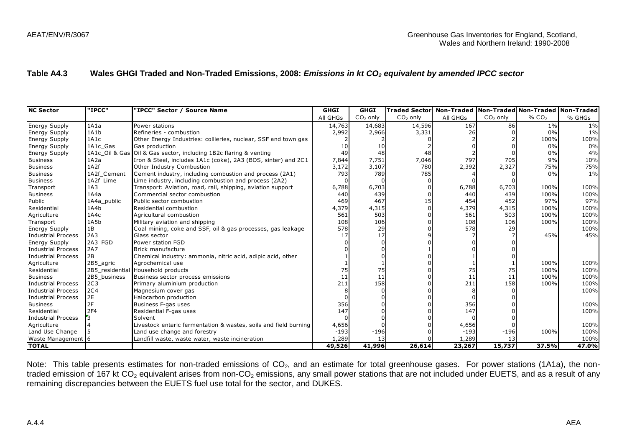| Table A4.3                |                 | Wales GHGI Traded and Non-Traded Emissions, 2008: Emissions in kt CO <sub>2</sub> equivalent by amended IPCC sector |             |             |                      |          |            |                                             |        |
|---------------------------|-----------------|---------------------------------------------------------------------------------------------------------------------|-------------|-------------|----------------------|----------|------------|---------------------------------------------|--------|
|                           |                 |                                                                                                                     |             |             |                      |          |            |                                             |        |
| <b>NC Sector</b>          | "IPCC"          | "IPCC" Sector / Source Name                                                                                         | <b>GHGI</b> | <b>GHGI</b> | <b>Traded Sector</b> |          |            | Non-Traded Non-Traded Non-Traded Non-Traded |        |
|                           |                 |                                                                                                                     | All GHGs    | $CO2$ only  | $CO2$ only           | All GHGs | $CO2$ only | % CO <sub>2</sub>                           | % GHGs |
| <b>Energy Supply</b>      | 1A1a            | Power stations                                                                                                      | 14,763      | 14,683      | 14,596               | 167      | 86         | $1\%$                                       | 1%     |
| <b>Energy Supply</b>      | 1A1b            | Refineries - combustion                                                                                             | 2,992       | 2,966       | 3,331                | 26       |            | 0%                                          | $1\%$  |
| <b>Energy Supply</b>      | 1A1c            | Other Energy Industries: collieries, nuclear, SSF and town gas                                                      |             |             |                      |          |            | 100%                                        | 100%   |
| <b>Energy Supply</b>      | 1A1c_Gas        | Gas production                                                                                                      | 10          | 10          |                      |          |            | 0%                                          | 0%     |
| <b>Energy Supply</b>      |                 | 1A1c Oil & Gas Oil & Gas sector, including 1B2c flaring & venting                                                   | 49          | 48          | 48                   |          |            | 0%                                          | 4%     |
| <b>Business</b>           | 1A2a            | Iron & Steel, includes 1A1c (coke), 2A3 (BOS, sinter) and 2C1                                                       | 7,844       | 7,751       | 7,046                | 797      | 705        | 9%                                          | 10%    |
| <b>Business</b>           | 1A2f            | Other Industry Combustion                                                                                           | 3,172       | 3,107       | 780                  | 2,392    | 2,327      | 75%                                         | 75%    |
| <b>Business</b>           | 1A2f_Cement     | Cement industry, including combustion and process (2A1)                                                             | 793         | 789         | 785                  |          |            | 0%                                          | $1\%$  |
| <b>Business</b>           | 1A2f Lime       | Lime industry, including combustion and process (2A2)                                                               |             |             |                      |          |            |                                             |        |
| Transport                 | 1A3             | Transport: Aviation, road, rail, shipping, aviation support                                                         | 6,788       | 6,703       |                      | 6,788    | 6,703      | 100%                                        | 100%   |
| <b>Business</b>           | 1A4a            | Commercial sector combustion                                                                                        | 440         | 439         |                      | 440      | 439        | 100%                                        | 100%   |
| Public                    | 1A4a public     | Public sector combustion                                                                                            | 469         | 467         | 15                   | 454      | 452        | 97%                                         | 97%    |
| Residential               | 1A4b            | Residential combustion                                                                                              | 4,379       | 4,315       |                      | 4,379    | 4,315      | 100%                                        | 100%   |
| Agriculture               | 1A4c            | Agricultural combustion                                                                                             | 561         | 503         |                      | 561      | 503        | 100%                                        | 100%   |
| Transport                 | 1A5b            | Military aviation and shipping                                                                                      | 108         | 106         |                      | 108      | 106        | 100%                                        | 100%   |
| <b>Energy Supply</b>      | 1B              | Coal mining, coke and SSF, oil & gas processes, gas leakage                                                         | 578         | 29          |                      | 578      | 29         |                                             | 100%   |
| <b>Industrial Process</b> | 2A3             | Glass sector                                                                                                        | 17          | 17          |                      |          |            | 45%                                         | 45%    |
| <b>Energy Supply</b>      | 2A3 FGD         | Power station FGD                                                                                                   |             |             |                      |          |            |                                             |        |
| <b>Industrial Process</b> | 2A7             | Brick manufacture                                                                                                   |             |             |                      |          |            |                                             |        |
| <b>Industrial Process</b> | 2B              | Chemical industry: ammonia, nitric acid, adipic acid, other                                                         |             |             |                      |          |            |                                             |        |
| Agriculture               | 2B5_agric       | Agrochemical use                                                                                                    |             |             |                      |          |            | 100%                                        | 100%   |
| Residential               | 2B5 residential | Household products                                                                                                  | 75          | 75          |                      | 75       | 75         | 100%                                        | 100%   |
| <b>Business</b>           | 2B5 business    | Business sector process emissions                                                                                   | 11          | 11          |                      | 11       | 11         | 100%                                        | 100%   |
| <b>Industrial Process</b> | 2C <sub>3</sub> | Primary aluminium production                                                                                        | 211         | 158         |                      | 211      | 158        | 100%                                        | 100%   |
| <b>Industrial Process</b> | 2C <sub>4</sub> | Magnesium cover gas                                                                                                 |             |             |                      |          |            |                                             | 100%   |
| <b>Industrial Process</b> | 2E              | Halocarbon production                                                                                               |             |             |                      |          |            |                                             |        |
| <b>Business</b>           | 2F              | Business F-gas uses                                                                                                 | 356         |             |                      | 356      |            |                                             | 100%   |
| Residential               | 2F4             | Residential F-gas uses                                                                                              | 147         |             |                      | 147      |            |                                             | 100%   |
| <b>Industrial Process</b> |                 | Solvent                                                                                                             |             |             |                      |          |            |                                             |        |
| Agriculture               |                 | Livestock enteric fermentation & wastes, soils and field burning                                                    | 4,656       |             |                      | 4,656    |            |                                             | 100%   |
| Land Use Change           |                 | Land use change and forestry                                                                                        | $-193$      | $-196$      |                      | $-193$   | $-196$     | 100%                                        | 100%   |
| Waste Management 6        |                 | Landfill waste, waste water, waste incineration                                                                     | 1,289       | 13          |                      | 1,289    | 13         |                                             | 100%   |
| <b>TOTAL</b>              |                 |                                                                                                                     | 49,526      | 41,996      | 26,614               | 23,267   | 15,737     | 37.5%                                       | 47.0%  |

Note: This table presents estimates for non-traded emissions of CO<sub>2</sub>, and an estimate for total greenhouse gases. For power stations (1A1a), the nontraded emission of 167 kt CO<sub>2</sub> equivalent arises from non-CO<sub>2</sub> emissions, any small power stations that are not included under EUETS, and as a result of any remaining discrepancies between the EUETS fuel use total for the sector, and DUKES.